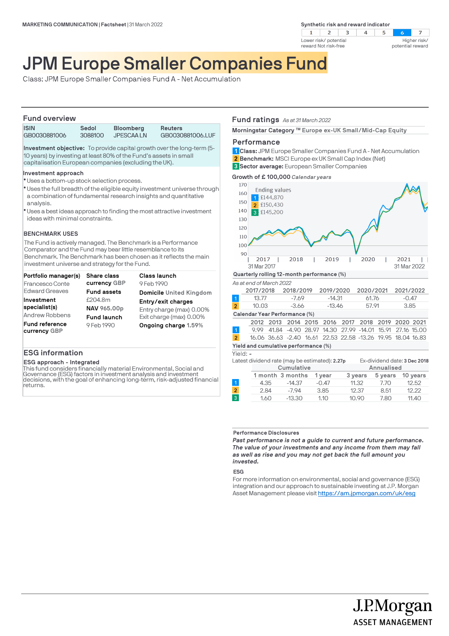**Synthetic risk and reward indicator** 



#### $\overline{z}$  $5\overline{5}$  $\sim$ Higher risk/ potential reward

# JPM Europe Smaller Companies Fund

Class: JPM Europe Smaller Companies Fund A - Net Accumulation

### **Fund overview**

| .            |         |                  |                  |
|--------------|---------|------------------|------------------|
| <b>ISIN</b>  | Sedol   | <b>Bloomberg</b> | Reuters          |
| GB0030881006 | 3088100 | <b>JPESCAALN</b> | GB0030881006.LUF |

**Investment objective:** To provide capital growth over the long-term (5- 10 years) by investing at least 80% of the Fund's assets in small capitalisation European companies (excluding the UK).

### **Investment approach**

- Uses a bottom-up stock selection process. l
- \* Uses the full breadth of the eligible equity investment universe through a combination of fundamental research insights and quantitative analysis.
- Uses a best ideas approach to finding the most attractive investment l ideas with minimal constraints.

### **BENCHMARK USES**

The Fund is actively managed. The Benchmark is a Performance Comparator and the Fund may bear little resemblance to its Benchmark. The Benchmark has been chosen as it reflects the main investment universe and strategy for the Fund.

| Portfolio manager(s)                  | <b>Share class</b> | <b>Class launch</b>            |
|---------------------------------------|--------------------|--------------------------------|
| Francesco Conte                       | currency GBP       | 9 Feb 1990                     |
| <b>Edward Greaves</b>                 | <b>Fund assets</b> | <b>Domicile United Kingdom</b> |
| Investment                            | £204.8m            | Entry/exit charges             |
| specialist(s)                         | NAV 965.00p        | Entry charge (max) 0.00%       |
| Andrew Robbens                        | <b>Fund launch</b> | Exit charge (max) 0.00%        |
| <b>Fund reference</b><br>currency GBP | 9 Feb 1990         | Ongoing charge 1.59%           |

### **ESG information**

**ESG approach - Integrated**

This fund considers financially material Environmental, Social and Governance (ESG) factors in investment analysis and investment decisions, with the goal of enhancing long-term, risk-adjusted financial returns.

### **Fund ratings** *As at 31 March 2022*

Morningstar Category ™ Europe ex-UK Small/Mid-Cap Equity

### **Performance**

**Class:** JPM Europe Smaller Companies Fund A - Net Accumulation **1 Benchmark:** MSCI Europe ex UK Small Cap Index (Net) **Sector average:** European Smaller Companies **3 2**

**Growth of £ 100,000** *Calendar years*



#### **Performance Disclosures**

*Past performance is not a guide to current and future performance. The value of your investments and any income from them may fall as well as rise and you may not get back the full amount you invested.* 

### **ESG**

For more information on environmental, social and governance (ESG) integration and our approach to sustainable investing at J.P. Morgan Asset Management please visit https://am.jpmorgan.com/uk/esg

> J.P.Morgan **ASSET MANAGEMENT**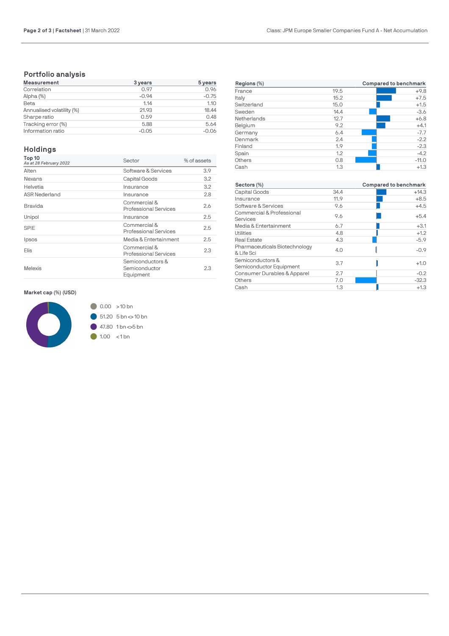## **Portfolio analysis**

| <b>Measurement</b>        | 3 years | 5 years |
|---------------------------|---------|---------|
| Correlation               | 0.97    | 0.96    |
| Alpha (%)                 | $-0.94$ | $-0.75$ |
| Beta                      | 1.14    | 1.10    |
| Annualised volatility (%) | 21.93   | 18.44   |
| Sharpe ratio              | 0.59    | 0.48    |
| Tracking error (%)        | 5.88    | 5.64    |
| Information ratio         | $-0.05$ | $-0.06$ |

## **Holdings**

| Top 10<br>As at 28 February 2022 | Sector                                         | % of assets |
|----------------------------------|------------------------------------------------|-------------|
| Alten                            | Software & Services                            | 3.9         |
| Nexans                           | Capital Goods                                  | 3.2         |
| Helvetia                         | Insurance                                      | 3.2         |
| <b>ASR Nederland</b>             | Insurance                                      | 2.8         |
| Bravida                          | Commercial &<br>Professional Services          | 2.6         |
| Unipol                           | Insurance                                      | 2.5         |
| SPIE                             | Commercial &<br><b>Professional Services</b>   | 2.5         |
| Ipsos                            | Media & Entertainment                          | 2.5         |
| <b>Elis</b>                      | Commercial &<br>Professional Services          | 2.3         |
| <b>Melexis</b>                   | Semiconductors &<br>Semiconductor<br>Equipment | 2.3         |

### **Market cap (%) (USD)**



| Regions (%) | Compared to benchmark |         |  |
|-------------|-----------------------|---------|--|
| France      | 19.5                  | $+9.8$  |  |
| Italy       | 15.2                  | $+7.5$  |  |
| Switzerland | 15.0                  | $+1.5$  |  |
| Sweden      | 14.4                  | $-3.6$  |  |
| Netherlands | 12.7                  | $+6.8$  |  |
| Belgium     | 9.2                   | $+4.1$  |  |
| Germany     | 6.4                   | $-7.7$  |  |
| Denmark     | 2.4                   | $-2.2$  |  |
| Finland     | 1.9                   | $-2.3$  |  |
| Spain       | 1.2                   | $-4.2$  |  |
| Others      | 0.8                   | $-11.0$ |  |
| Cash        | 1.3                   | $+1.3$  |  |

| Sectors (%)                                 |      | Compared to benchmark |  |  |
|---------------------------------------------|------|-----------------------|--|--|
| Capital Goods                               | 34.4 | $+14.3$               |  |  |
| Insurance                                   | 11.9 | $+8.5$                |  |  |
| Software & Services                         | 9.6  | $+4.5$                |  |  |
| Commercial & Professional<br>Services       | 9.6  | $+5.4$                |  |  |
| Media & Entertainment                       | 6.7  | $+3.1$                |  |  |
| Utilities                                   | 4.8  | $+1.2$                |  |  |
| <b>Real Estate</b>                          | 4.3  | $-5.9$                |  |  |
| Pharmaceuticals Biotechnology<br>& Life Sci | 4.0  | $-0.9$                |  |  |
| Semiconductors &<br>Semiconductor Equipment | 3.7  | $+1.0$                |  |  |
| Consumer Durables & Apparel                 | 2.7  | $-0.2$                |  |  |
| Others                                      | 7.0  | $-32.3$               |  |  |
| Cash                                        | 1.3  | $+1.3$                |  |  |